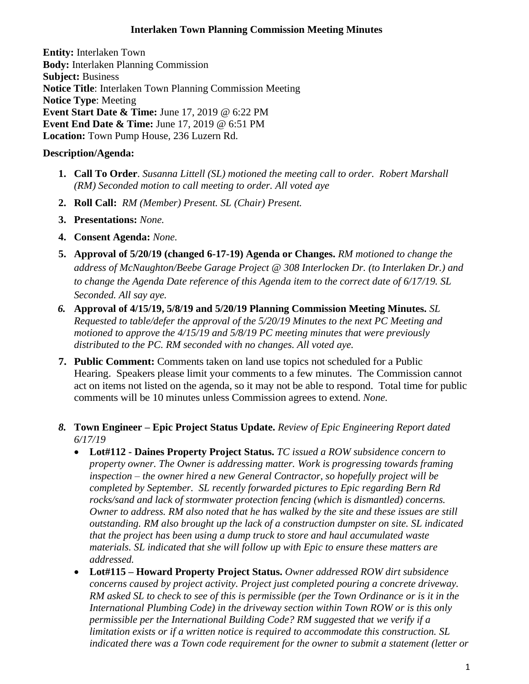## **Interlaken Town Planning Commission Meeting Minutes**

**Entity:** Interlaken Town **Body:** Interlaken [Planning Commission](http://www.utah.gov/pmn/sitemap/publicbody/5029.html) **Subject:** Business **Notice Title**: Interlaken Town Planning Commission Meeting **Notice Type**: Meeting **Event Start Date & Time:** June 17, 2019 @ 6:22 PM **Event End Date & Time:** June 17, 2019 @ 6:51 PM **Location:** Town Pump House, 236 Luzern Rd.

## **Description/Agenda:**

- **1. Call To Order**. *Susanna Littell (SL) motioned the meeting call to order. Robert Marshall (RM) Seconded motion to call meeting to order. All voted aye*
- **2. Roll Call:** *RM (Member) Present. SL (Chair) Present.*
- **3. Presentations:** *None.*
- **4. Consent Agenda:** *None.*
- **5. Approval of 5/20/19 (changed 6-17-19) Agenda or Changes.** *RM motioned to change the address of McNaughton/Beebe Garage Project @ 308 Interlocken Dr. (to Interlaken Dr.) and to change the Agenda Date reference of this Agenda item to the correct date of 6/17/19. SL Seconded. All say aye.*
- *6.* **Approval of 4/15/19, 5/8/19 and 5/20/19 Planning Commission Meeting Minutes.** *SL Requested to table/defer the approval of the 5/20/19 Minutes to the next PC Meeting and motioned to approve the 4/15/19 and 5/8/19 PC meeting minutes that were previously distributed to the PC. RM seconded with no changes. All voted aye.*
- **7. Public Comment:** Comments taken on land use topics not scheduled for a Public Hearing. Speakers please limit your comments to a few minutes. The Commission cannot act on items not listed on the agenda, so it may not be able to respond. Total time for public comments will be 10 minutes unless Commission agrees to extend. *None.*
- *8.* **Town Engineer – Epic Project Status Update.** *Review of Epic Engineering Report dated 6/17/19*
	- **Lot#112 - Daines Property Project Status.** *TC issued a ROW subsidence concern to property owner. The Owner is addressing matter. Work is progressing towards framing inspection – the owner hired a new General Contractor, so hopefully project will be completed by September. SL recently forwarded pictures to Epic regarding Bern Rd rocks/sand and lack of stormwater protection fencing (which is dismantled) concerns. Owner to address. RM also noted that he has walked by the site and these issues are still outstanding. RM also brought up the lack of a construction dumpster on site. SL indicated that the project has been using a dump truck to store and haul accumulated waste materials. SL indicated that she will follow up with Epic to ensure these matters are addressed.*
	- **Lot#115 – Howard Property Project Status.** *Owner addressed ROW dirt subsidence concerns caused by project activity. Project just completed pouring a concrete driveway. RM asked SL to check to see of this is permissible (per the Town Ordinance or is it in the International Plumbing Code) in the driveway section within Town ROW or is this only permissible per the International Building Code? RM suggested that we verify if a limitation exists or if a written notice is required to accommodate this construction. SL indicated there was a Town code requirement for the owner to submit a statement (letter or*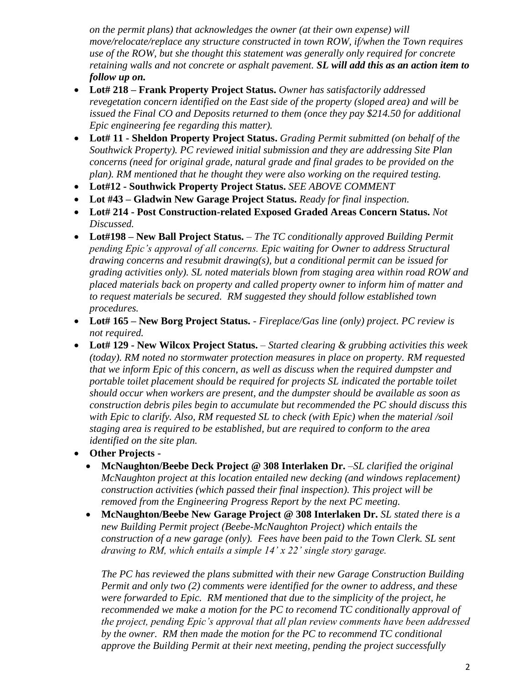*on the permit plans) that acknowledges the owner (at their own expense) will move/relocate/replace any structure constructed in town ROW, if/when the Town requires use of the ROW, but she thought this statement was generally only required for concrete retaining walls and not concrete or asphalt pavement. SL will add this as an action item to follow up on.* 

- **Lot# 218 – Frank Property Project Status.** *Owner has satisfactorily addressed revegetation concern identified on the East side of the property (sloped area) and will be issued the Final CO and Deposits returned to them (once they pay \$214.50 for additional Epic engineering fee regarding this matter).*
- **Lot# 11 - Sheldon Property Project Status.** *Grading Permit submitted (on behalf of the Southwick Property). PC reviewed initial submission and they are addressing Site Plan concerns (need for original grade, natural grade and final grades to be provided on the plan). RM mentioned that he thought they were also working on the required testing.*
- **Lot#12 - Southwick Property Project Status.** *SEE ABOVE COMMENT*
- **Lot #43 – Gladwin New Garage Project Status.** *Ready for final inspection.*
- **Lot# 214 - Post Construction-related Exposed Graded Areas Concern Status.** *Not Discussed.*
- **Lot#198 – New Ball Project Status.** *The TC conditionally approved Building Permit pending Epic's approval of all concerns. Epic waiting for Owner to address Structural drawing concerns and resubmit drawing(s), but a conditional permit can be issued for grading activities only). SL noted materials blown from staging area within road ROW and placed materials back on property and called property owner to inform him of matter and to request materials be secured. RM suggested they should follow established town procedures.*
- **Lot# 165 – New Borg Project Status.** *- Fireplace/Gas line (only) project. PC review is not required.*
- **Lot# 129 - New Wilcox Project Status.** *Started clearing & grubbing activities this week (today). RM noted no stormwater protection measures in place on property. RM requested that we inform Epic of this concern, as well as discuss when the required dumpster and portable toilet placement should be required for projects SL indicated the portable toilet should occur when workers are present, and the dumpster should be available as soon as construction debris piles begin to accumulate but recommended the PC should discuss this with Epic to clarify. Also, RM requested SL to check (with Epic) when the material /soil staging area is required to be established, but are required to conform to the area identified on the site plan.*
- **Other Projects -**
	- **McNaughton/Beebe Deck Project @ 308 Interlaken Dr.** *–SL clarified the original McNaughton project at this location entailed new decking (and windows replacement) construction activities (which passed their final inspection). This project will be removed from the Engineering Progress Report by the next PC meeting.*
	- **McNaughton/Beebe New Garage Project @ 308 Interlaken Dr.** *SL stated there is a new Building Permit project (Beebe-McNaughton Project) which entails the construction of a new garage (only). Fees have been paid to the Town Clerk. SL sent drawing to RM, which entails a simple 14' x 22' single story garage.*

*The PC has reviewed the plans submitted with their new Garage Construction Building Permit and only two (2) comments were identified for the owner to address, and these were forwarded to Epic. RM mentioned that due to the simplicity of the project, he recommended we make a motion for the PC to recomend TC conditionally approval of the project, pending Epic's approval that all plan review comments have been addressed by the owner. RM then made the motion for the PC to recommend TC conditional approve the Building Permit at their next meeting, pending the project successfully*